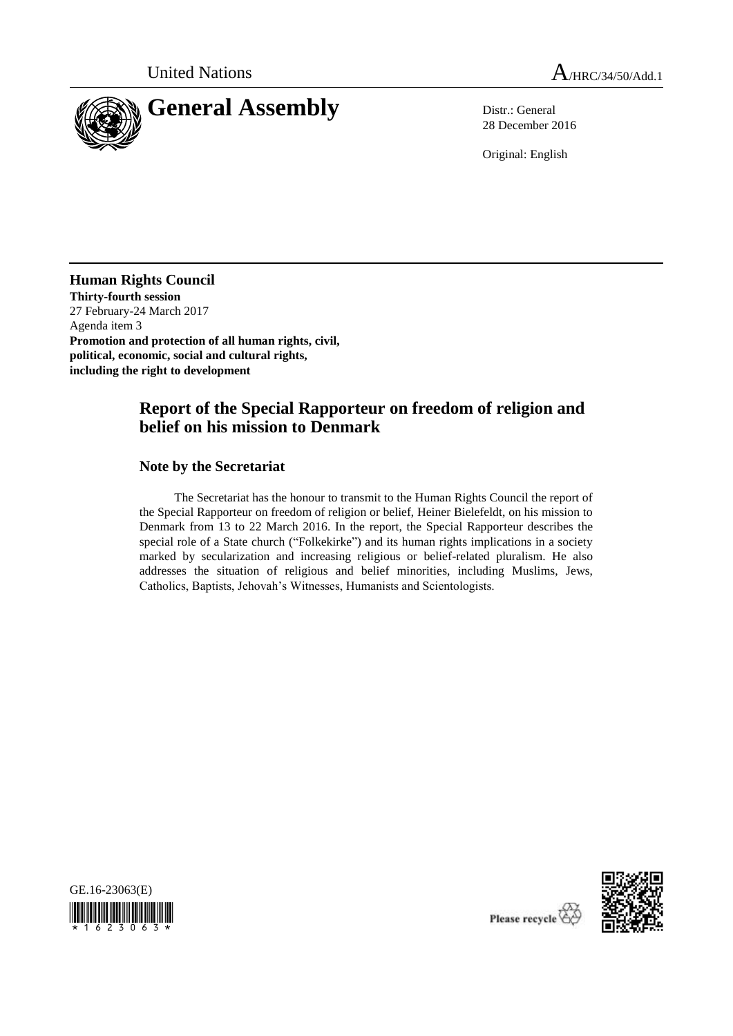

28 December 2016

Original: English

**Human Rights Council Thirty-fourth session** 27 February-24 March 2017 Agenda item 3 **Promotion and protection of all human rights, civil, political, economic, social and cultural rights, including the right to development**

# **Report of the Special Rapporteur on freedom of religion and belief on his mission to Denmark**

### **Note by the Secretariat**

The Secretariat has the honour to transmit to the Human Rights Council the report of the Special Rapporteur on freedom of religion or belief, Heiner Bielefeldt, on his mission to Denmark from 13 to 22 March 2016. In the report, the Special Rapporteur describes the special role of a State church ("Folkekirke") and its human rights implications in a society marked by secularization and increasing religious or belief-related pluralism. He also addresses the situation of religious and belief minorities, including Muslims, Jews, Catholics, Baptists, Jehovah's Witnesses, Humanists and Scientologists.





Please recycle  $\overleftrightarrow{C}$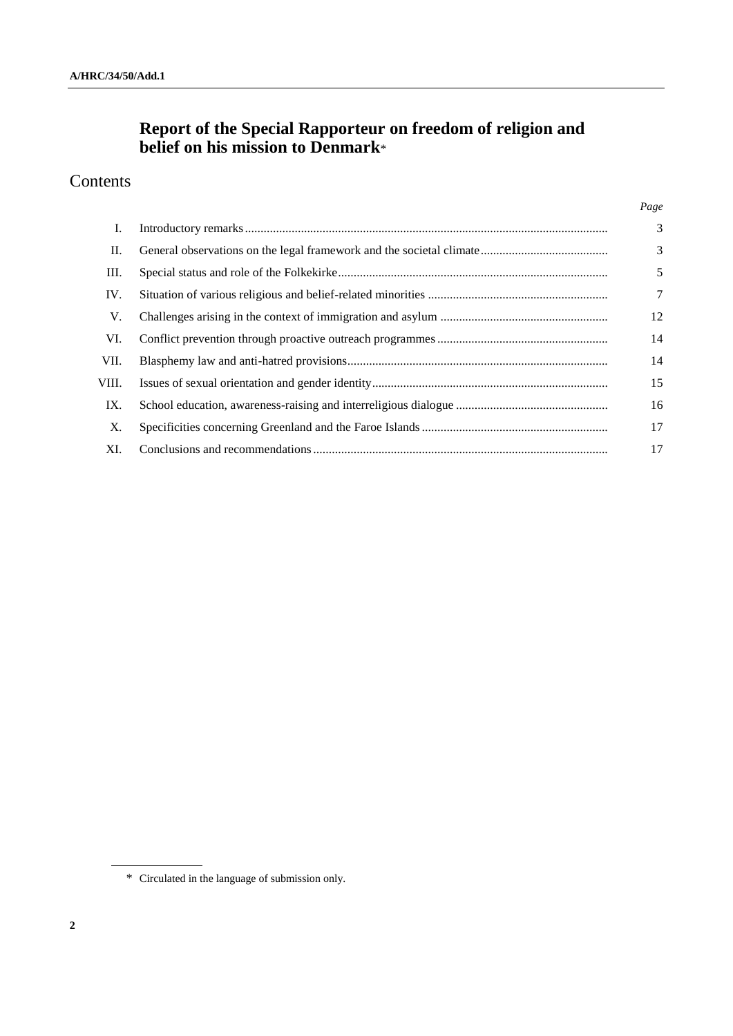# **Report of the Special Rapporteur on freedom of religion and belief on his mission to Denmark**\*

# Contents

| I.    | 3  |
|-------|----|
| П.    | 3  |
| Ш.    | 5  |
| IV.   | 7  |
| V.    | 12 |
| VI.   | 14 |
| VII.  | 14 |
| VIII. | 15 |
| IX.   | 16 |
| X.    | 17 |
| XI.   | 17 |

*Page*

<sup>\*</sup> Circulated in the language of submission only.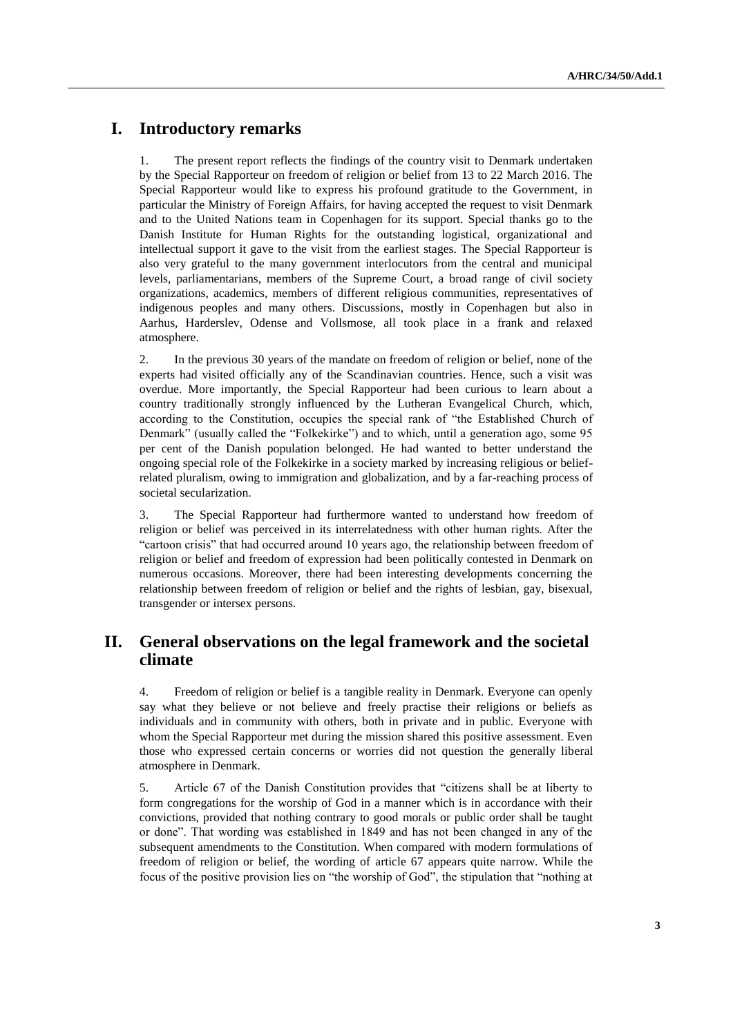# **I. Introductory remarks**

1. The present report reflects the findings of the country visit to Denmark undertaken by the Special Rapporteur on freedom of religion or belief from 13 to 22 March 2016. The Special Rapporteur would like to express his profound gratitude to the Government, in particular the Ministry of Foreign Affairs, for having accepted the request to visit Denmark and to the United Nations team in Copenhagen for its support. Special thanks go to the Danish Institute for Human Rights for the outstanding logistical, organizational and intellectual support it gave to the visit from the earliest stages. The Special Rapporteur is also very grateful to the many government interlocutors from the central and municipal levels, parliamentarians, members of the Supreme Court, a broad range of civil society organizations, academics, members of different religious communities, representatives of indigenous peoples and many others. Discussions, mostly in Copenhagen but also in Aarhus, Harderslev, Odense and Vollsmose, all took place in a frank and relaxed atmosphere.

2. In the previous 30 years of the mandate on freedom of religion or belief, none of the experts had visited officially any of the Scandinavian countries. Hence, such a visit was overdue. More importantly, the Special Rapporteur had been curious to learn about a country traditionally strongly influenced by the Lutheran Evangelical Church, which, according to the Constitution, occupies the special rank of "the Established Church of Denmark" (usually called the "Folkekirke") and to which, until a generation ago, some 95 per cent of the Danish population belonged. He had wanted to better understand the ongoing special role of the Folkekirke in a society marked by increasing religious or beliefrelated pluralism, owing to immigration and globalization, and by a far-reaching process of societal secularization.

3. The Special Rapporteur had furthermore wanted to understand how freedom of religion or belief was perceived in its interrelatedness with other human rights. After the "cartoon crisis" that had occurred around 10 years ago, the relationship between freedom of religion or belief and freedom of expression had been politically contested in Denmark on numerous occasions. Moreover, there had been interesting developments concerning the relationship between freedom of religion or belief and the rights of lesbian, gay, bisexual, transgender or intersex persons.

# **II. General observations on the legal framework and the societal climate**

4. Freedom of religion or belief is a tangible reality in Denmark. Everyone can openly say what they believe or not believe and freely practise their religions or beliefs as individuals and in community with others, both in private and in public. Everyone with whom the Special Rapporteur met during the mission shared this positive assessment. Even those who expressed certain concerns or worries did not question the generally liberal atmosphere in Denmark.

5. Article 67 of the Danish Constitution provides that "citizens shall be at liberty to form congregations for the worship of God in a manner which is in accordance with their convictions, provided that nothing contrary to good morals or public order shall be taught or done". That wording was established in 1849 and has not been changed in any of the subsequent amendments to the Constitution. When compared with modern formulations of freedom of religion or belief, the wording of article 67 appears quite narrow. While the focus of the positive provision lies on "the worship of God", the stipulation that "nothing at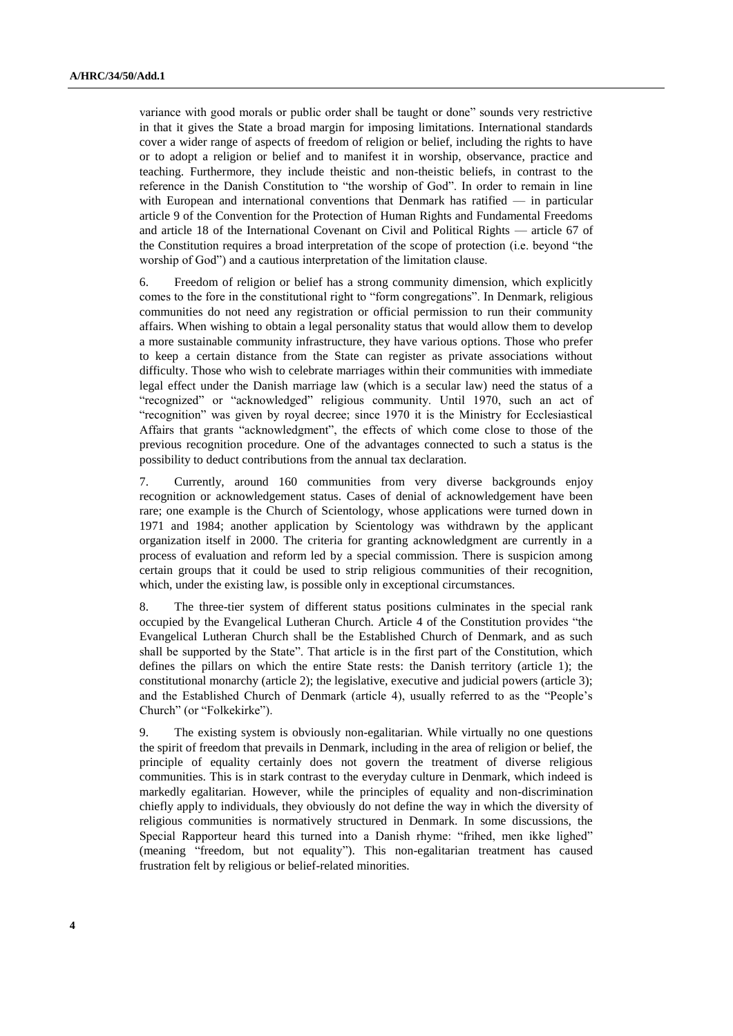variance with good morals or public order shall be taught or done" sounds very restrictive in that it gives the State a broad margin for imposing limitations. International standards cover a wider range of aspects of freedom of religion or belief, including the rights to have or to adopt a religion or belief and to manifest it in worship, observance, practice and teaching. Furthermore, they include theistic and non-theistic beliefs, in contrast to the reference in the Danish Constitution to "the worship of God". In order to remain in line with European and international conventions that Denmark has ratified — in particular article 9 of the Convention for the Protection of Human Rights and Fundamental Freedoms and article 18 of the International Covenant on Civil and Political Rights — article 67 of the Constitution requires a broad interpretation of the scope of protection (i.e. beyond "the worship of God") and a cautious interpretation of the limitation clause.

6. Freedom of religion or belief has a strong community dimension, which explicitly comes to the fore in the constitutional right to "form congregations". In Denmark, religious communities do not need any registration or official permission to run their community affairs. When wishing to obtain a legal personality status that would allow them to develop a more sustainable community infrastructure, they have various options. Those who prefer to keep a certain distance from the State can register as private associations without difficulty. Those who wish to celebrate marriages within their communities with immediate legal effect under the Danish marriage law (which is a secular law) need the status of a "recognized" or "acknowledged" religious community. Until 1970, such an act of "recognition" was given by royal decree; since 1970 it is the Ministry for Ecclesiastical Affairs that grants "acknowledgment", the effects of which come close to those of the previous recognition procedure. One of the advantages connected to such a status is the possibility to deduct contributions from the annual tax declaration.

7. Currently, around 160 communities from very diverse backgrounds enjoy recognition or acknowledgement status. Cases of denial of acknowledgement have been rare; one example is the Church of Scientology, whose applications were turned down in 1971 and 1984; another application by Scientology was withdrawn by the applicant organization itself in 2000. The criteria for granting acknowledgment are currently in a process of evaluation and reform led by a special commission. There is suspicion among certain groups that it could be used to strip religious communities of their recognition, which, under the existing law, is possible only in exceptional circumstances.

8. The three-tier system of different status positions culminates in the special rank occupied by the Evangelical Lutheran Church. Article 4 of the Constitution provides "the Evangelical Lutheran Church shall be the Established Church of Denmark, and as such shall be supported by the State". That article is in the first part of the Constitution, which defines the pillars on which the entire State rests: the Danish territory (article 1); the constitutional monarchy (article 2); the legislative, executive and judicial powers (article 3); and the Established Church of Denmark (article 4), usually referred to as the "People's Church" (or "Folkekirke").

9. The existing system is obviously non-egalitarian. While virtually no one questions the spirit of freedom that prevails in Denmark, including in the area of religion or belief, the principle of equality certainly does not govern the treatment of diverse religious communities. This is in stark contrast to the everyday culture in Denmark, which indeed is markedly egalitarian. However, while the principles of equality and non-discrimination chiefly apply to individuals, they obviously do not define the way in which the diversity of religious communities is normatively structured in Denmark. In some discussions, the Special Rapporteur heard this turned into a Danish rhyme: "frihed, men ikke lighed" (meaning "freedom, but not equality"). This non-egalitarian treatment has caused frustration felt by religious or belief-related minorities.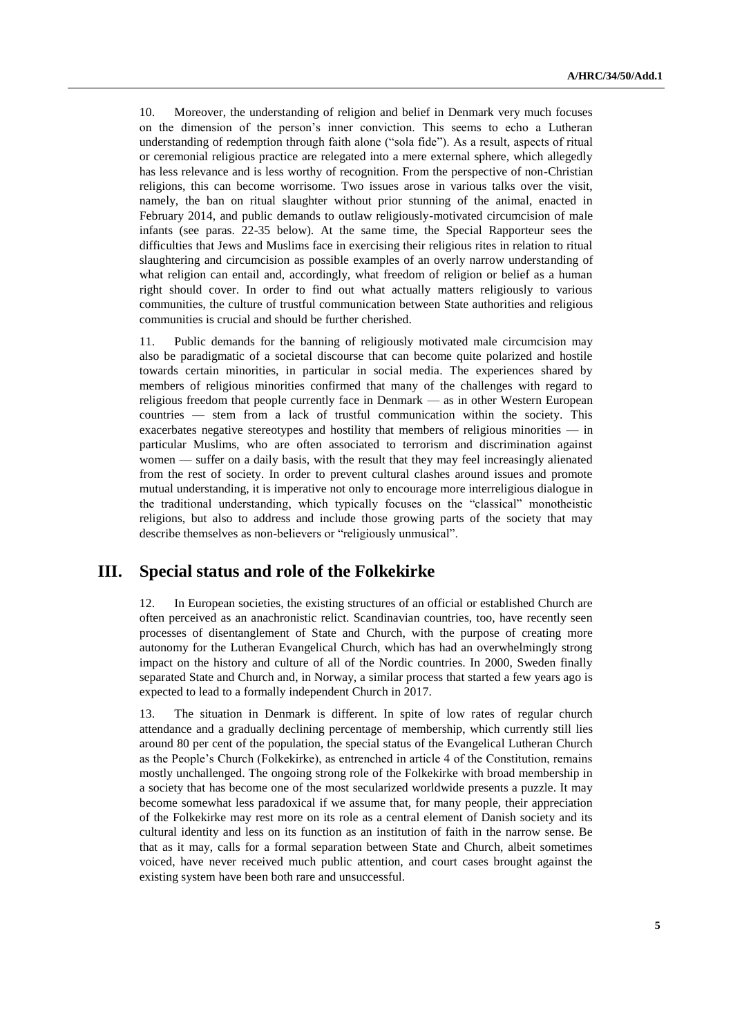10. Moreover, the understanding of religion and belief in Denmark very much focuses on the dimension of the person's inner conviction. This seems to echo a Lutheran understanding of redemption through faith alone ("sola fide"). As a result, aspects of ritual or ceremonial religious practice are relegated into a mere external sphere, which allegedly has less relevance and is less worthy of recognition. From the perspective of non-Christian religions, this can become worrisome. Two issues arose in various talks over the visit, namely, the ban on ritual slaughter without prior stunning of the animal, enacted in February 2014, and public demands to outlaw religiously-motivated circumcision of male infants (see paras. 22-35 below). At the same time, the Special Rapporteur sees the difficulties that Jews and Muslims face in exercising their religious rites in relation to ritual slaughtering and circumcision as possible examples of an overly narrow understanding of what religion can entail and, accordingly, what freedom of religion or belief as a human right should cover. In order to find out what actually matters religiously to various communities, the culture of trustful communication between State authorities and religious communities is crucial and should be further cherished.

11. Public demands for the banning of religiously motivated male circumcision may also be paradigmatic of a societal discourse that can become quite polarized and hostile towards certain minorities, in particular in social media. The experiences shared by members of religious minorities confirmed that many of the challenges with regard to religious freedom that people currently face in Denmark — as in other Western European countries — stem from a lack of trustful communication within the society. This exacerbates negative stereotypes and hostility that members of religious minorities — in particular Muslims, who are often associated to terrorism and discrimination against women — suffer on a daily basis, with the result that they may feel increasingly alienated from the rest of society. In order to prevent cultural clashes around issues and promote mutual understanding, it is imperative not only to encourage more interreligious dialogue in the traditional understanding, which typically focuses on the "classical" monotheistic religions, but also to address and include those growing parts of the society that may describe themselves as non-believers or "religiously unmusical".

## **III. Special status and role of the Folkekirke**

12. In European societies, the existing structures of an official or established Church are often perceived as an anachronistic relict. Scandinavian countries, too, have recently seen processes of disentanglement of State and Church, with the purpose of creating more autonomy for the Lutheran Evangelical Church, which has had an overwhelmingly strong impact on the history and culture of all of the Nordic countries. In 2000, Sweden finally separated State and Church and, in Norway, a similar process that started a few years ago is expected to lead to a formally independent Church in 2017.

13. The situation in Denmark is different. In spite of low rates of regular church attendance and a gradually declining percentage of membership, which currently still lies around 80 per cent of the population, the special status of the Evangelical Lutheran Church as the People's Church (Folkekirke), as entrenched in article 4 of the Constitution, remains mostly unchallenged. The ongoing strong role of the Folkekirke with broad membership in a society that has become one of the most secularized worldwide presents a puzzle. It may become somewhat less paradoxical if we assume that, for many people, their appreciation of the Folkekirke may rest more on its role as a central element of Danish society and its cultural identity and less on its function as an institution of faith in the narrow sense. Be that as it may, calls for a formal separation between State and Church, albeit sometimes voiced, have never received much public attention, and court cases brought against the existing system have been both rare and unsuccessful.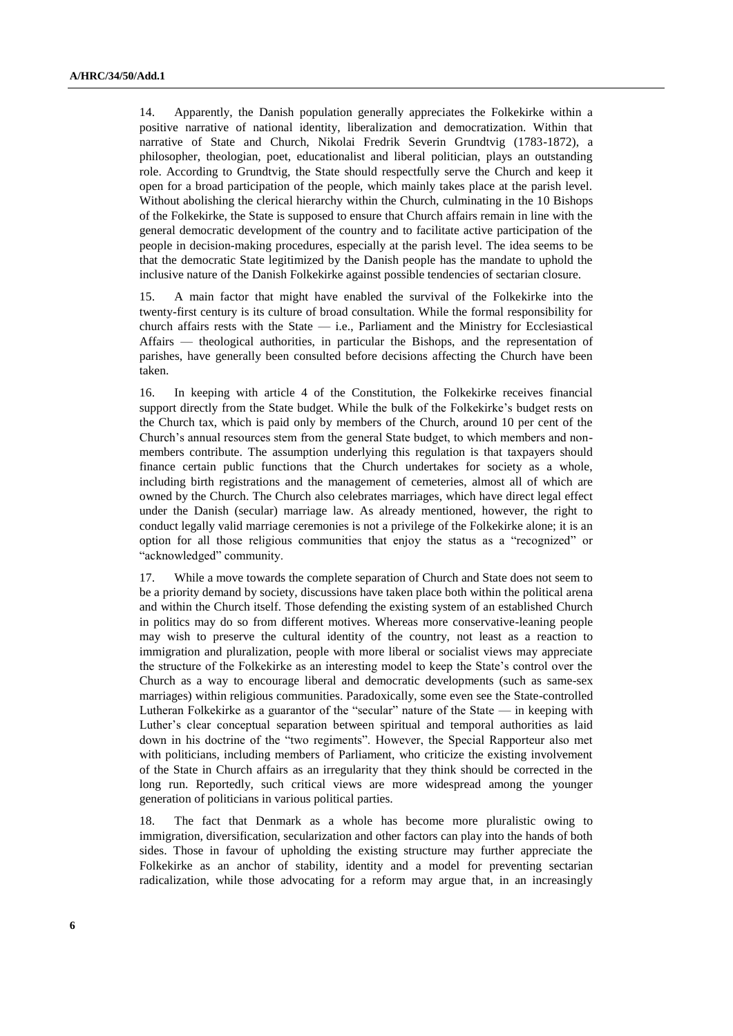14. Apparently, the Danish population generally appreciates the Folkekirke within a positive narrative of national identity, liberalization and democratization. Within that narrative of State and Church, Nikolai Fredrik Severin Grundtvig (1783-1872), a philosopher, theologian, poet, educationalist and liberal politician, plays an outstanding role. According to Grundtvig, the State should respectfully serve the Church and keep it open for a broad participation of the people, which mainly takes place at the parish level. Without abolishing the clerical hierarchy within the Church, culminating in the 10 Bishops of the Folkekirke, the State is supposed to ensure that Church affairs remain in line with the general democratic development of the country and to facilitate active participation of the people in decision-making procedures, especially at the parish level. The idea seems to be that the democratic State legitimized by the Danish people has the mandate to uphold the inclusive nature of the Danish Folkekirke against possible tendencies of sectarian closure.

15. A main factor that might have enabled the survival of the Folkekirke into the twenty-first century is its culture of broad consultation. While the formal responsibility for church affairs rests with the State — i.e., Parliament and the Ministry for Ecclesiastical Affairs — theological authorities, in particular the Bishops, and the representation of parishes, have generally been consulted before decisions affecting the Church have been taken.

16. In keeping with article 4 of the Constitution, the Folkekirke receives financial support directly from the State budget. While the bulk of the Folkekirke's budget rests on the Church tax, which is paid only by members of the Church, around 10 per cent of the Church's annual resources stem from the general State budget, to which members and nonmembers contribute. The assumption underlying this regulation is that taxpayers should finance certain public functions that the Church undertakes for society as a whole, including birth registrations and the management of cemeteries, almost all of which are owned by the Church. The Church also celebrates marriages, which have direct legal effect under the Danish (secular) marriage law. As already mentioned, however, the right to conduct legally valid marriage ceremonies is not a privilege of the Folkekirke alone; it is an option for all those religious communities that enjoy the status as a "recognized" or "acknowledged" community.

17. While a move towards the complete separation of Church and State does not seem to be a priority demand by society, discussions have taken place both within the political arena and within the Church itself. Those defending the existing system of an established Church in politics may do so from different motives. Whereas more conservative-leaning people may wish to preserve the cultural identity of the country, not least as a reaction to immigration and pluralization, people with more liberal or socialist views may appreciate the structure of the Folkekirke as an interesting model to keep the State's control over the Church as a way to encourage liberal and democratic developments (such as same-sex marriages) within religious communities. Paradoxically, some even see the State-controlled Lutheran Folkekirke as a guarantor of the "secular" nature of the State — in keeping with Luther's clear conceptual separation between spiritual and temporal authorities as laid down in his doctrine of the "two regiments". However, the Special Rapporteur also met with politicians, including members of Parliament, who criticize the existing involvement of the State in Church affairs as an irregularity that they think should be corrected in the long run. Reportedly, such critical views are more widespread among the younger generation of politicians in various political parties.

18. The fact that Denmark as a whole has become more pluralistic owing to immigration, diversification, secularization and other factors can play into the hands of both sides. Those in favour of upholding the existing structure may further appreciate the Folkekirke as an anchor of stability, identity and a model for preventing sectarian radicalization, while those advocating for a reform may argue that, in an increasingly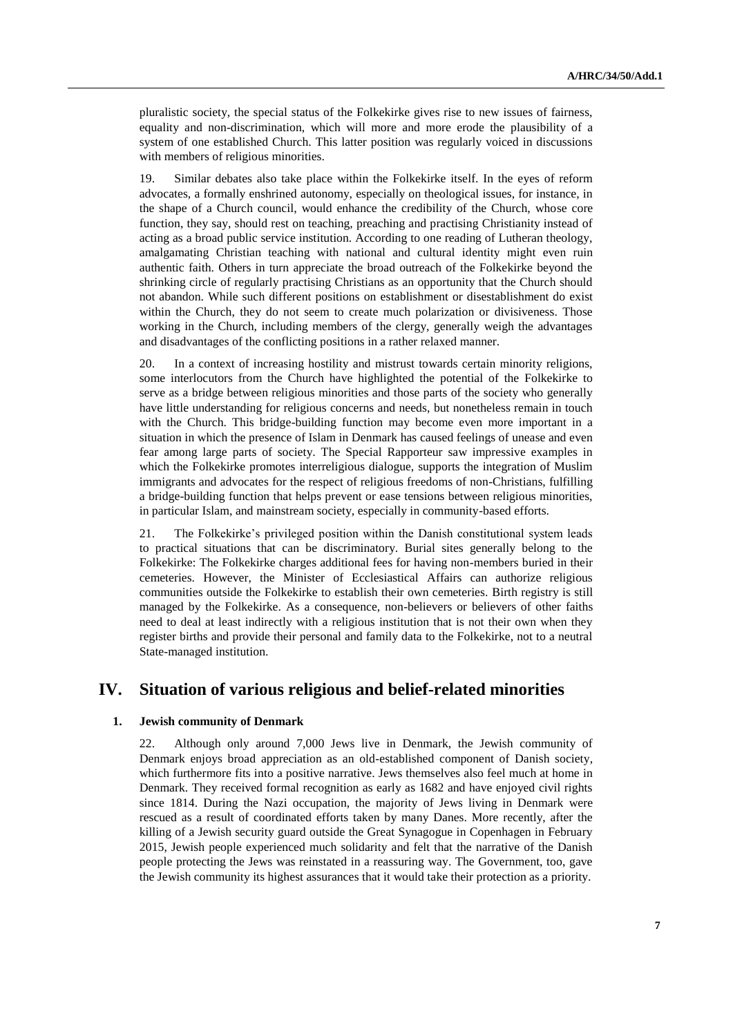pluralistic society, the special status of the Folkekirke gives rise to new issues of fairness, equality and non-discrimination, which will more and more erode the plausibility of a system of one established Church. This latter position was regularly voiced in discussions with members of religious minorities.

19. Similar debates also take place within the Folkekirke itself. In the eyes of reform advocates, a formally enshrined autonomy, especially on theological issues, for instance, in the shape of a Church council, would enhance the credibility of the Church, whose core function, they say, should rest on teaching, preaching and practising Christianity instead of acting as a broad public service institution. According to one reading of Lutheran theology, amalgamating Christian teaching with national and cultural identity might even ruin authentic faith. Others in turn appreciate the broad outreach of the Folkekirke beyond the shrinking circle of regularly practising Christians as an opportunity that the Church should not abandon. While such different positions on establishment or disestablishment do exist within the Church, they do not seem to create much polarization or divisiveness. Those working in the Church, including members of the clergy, generally weigh the advantages and disadvantages of the conflicting positions in a rather relaxed manner.

20. In a context of increasing hostility and mistrust towards certain minority religions, some interlocutors from the Church have highlighted the potential of the Folkekirke to serve as a bridge between religious minorities and those parts of the society who generally have little understanding for religious concerns and needs, but nonetheless remain in touch with the Church. This bridge-building function may become even more important in a situation in which the presence of Islam in Denmark has caused feelings of unease and even fear among large parts of society. The Special Rapporteur saw impressive examples in which the Folkekirke promotes interreligious dialogue, supports the integration of Muslim immigrants and advocates for the respect of religious freedoms of non-Christians, fulfilling a bridge-building function that helps prevent or ease tensions between religious minorities, in particular Islam, and mainstream society, especially in community-based efforts.

21. The Folkekirke's privileged position within the Danish constitutional system leads to practical situations that can be discriminatory. Burial sites generally belong to the Folkekirke: The Folkekirke charges additional fees for having non-members buried in their cemeteries. However, the Minister of Ecclesiastical Affairs can authorize religious communities outside the Folkekirke to establish their own cemeteries. Birth registry is still managed by the Folkekirke. As a consequence, non-believers or believers of other faiths need to deal at least indirectly with a religious institution that is not their own when they register births and provide their personal and family data to the Folkekirke, not to a neutral State-managed institution.

### **IV. Situation of various religious and belief-related minorities**

### **1. Jewish community of Denmark**

22. Although only around 7,000 Jews live in Denmark, the Jewish community of Denmark enjoys broad appreciation as an old-established component of Danish society, which furthermore fits into a positive narrative. Jews themselves also feel much at home in Denmark. They received formal recognition as early as 1682 and have enjoyed civil rights since 1814. During the Nazi occupation, the majority of Jews living in Denmark were rescued as a result of coordinated efforts taken by many Danes. More recently, after the killing of a Jewish security guard outside the Great Synagogue in Copenhagen in February 2015, Jewish people experienced much solidarity and felt that the narrative of the Danish people protecting the Jews was reinstated in a reassuring way. The Government, too, gave the Jewish community its highest assurances that it would take their protection as a priority.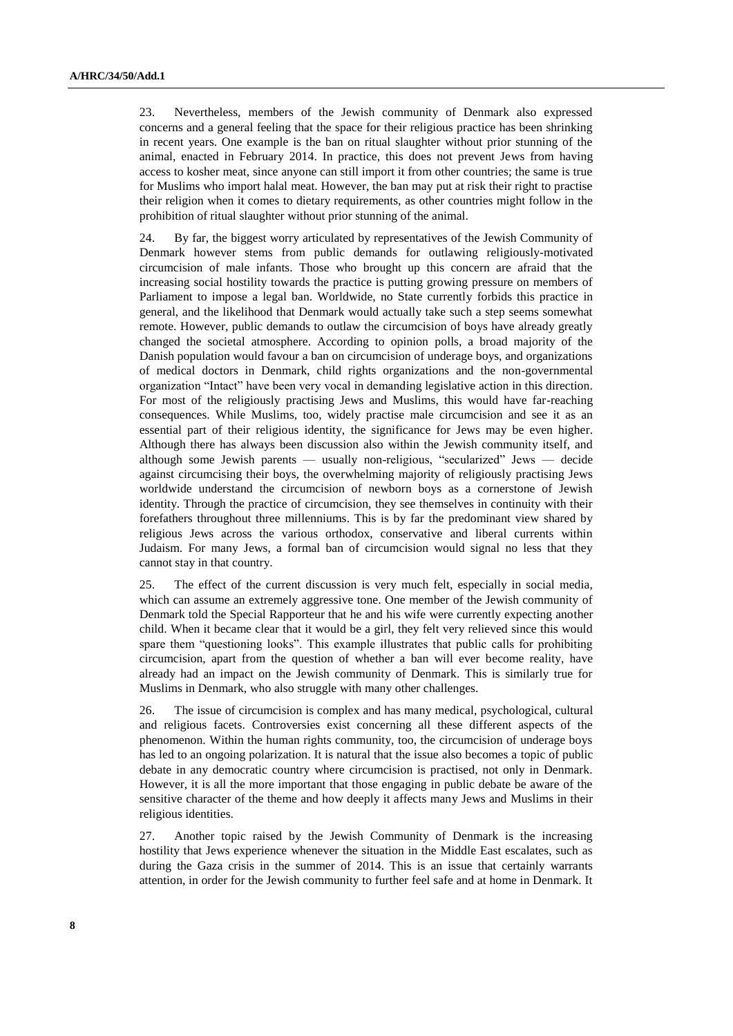23. Nevertheless, members of the Jewish community of Denmark also expressed concerns and a general feeling that the space for their religious practice has been shrinking in recent years. One example is the ban on ritual slaughter without prior stunning of the animal, enacted in February 2014. In practice, this does not prevent Jews from having access to kosher meat, since anyone can still import it from other countries; the same is true for Muslims who import halal meat. However, the ban may put at risk their right to practise their religion when it comes to dietary requirements, as other countries might follow in the prohibition of ritual slaughter without prior stunning of the animal.

24. By far, the biggest worry articulated by representatives of the Jewish Community of Denmark however stems from public demands for outlawing religiously-motivated circumcision of male infants. Those who brought up this concern are afraid that the increasing social hostility towards the practice is putting growing pressure on members of Parliament to impose a legal ban. Worldwide, no State currently forbids this practice in general, and the likelihood that Denmark would actually take such a step seems somewhat remote. However, public demands to outlaw the circumcision of boys have already greatly changed the societal atmosphere. According to opinion polls, a broad majority of the Danish population would favour a ban on circumcision of underage boys, and organizations of medical doctors in Denmark, child rights organizations and the non-governmental organization "Intact" have been very vocal in demanding legislative action in this direction. For most of the religiously practising Jews and Muslims, this would have far-reaching consequences. While Muslims, too, widely practise male circumcision and see it as an essential part of their religious identity, the significance for Jews may be even higher. Although there has always been discussion also within the Jewish community itself, and although some Jewish parents — usually non-religious, "secularized" Jews — decide against circumcising their boys, the overwhelming majority of religiously practising Jews worldwide understand the circumcision of newborn boys as a cornerstone of Jewish identity. Through the practice of circumcision, they see themselves in continuity with their forefathers throughout three millenniums. This is by far the predominant view shared by religious Jews across the various orthodox, conservative and liberal currents within Judaism. For many Jews, a formal ban of circumcision would signal no less that they cannot stay in that country.

25. The effect of the current discussion is very much felt, especially in social media, which can assume an extremely aggressive tone. One member of the Jewish community of Denmark told the Special Rapporteur that he and his wife were currently expecting another child. When it became clear that it would be a girl, they felt very relieved since this would spare them "questioning looks". This example illustrates that public calls for prohibiting circumcision, apart from the question of whether a ban will ever become reality, have already had an impact on the Jewish community of Denmark. This is similarly true for Muslims in Denmark, who also struggle with many other challenges.

26. The issue of circumcision is complex and has many medical, psychological, cultural and religious facets. Controversies exist concerning all these different aspects of the phenomenon. Within the human rights community, too, the circumcision of underage boys has led to an ongoing polarization. It is natural that the issue also becomes a topic of public debate in any democratic country where circumcision is practised, not only in Denmark. However, it is all the more important that those engaging in public debate be aware of the sensitive character of the theme and how deeply it affects many Jews and Muslims in their religious identities.

27. Another topic raised by the Jewish Community of Denmark is the increasing hostility that Jews experience whenever the situation in the Middle East escalates, such as during the Gaza crisis in the summer of 2014. This is an issue that certainly warrants attention, in order for the Jewish community to further feel safe and at home in Denmark. It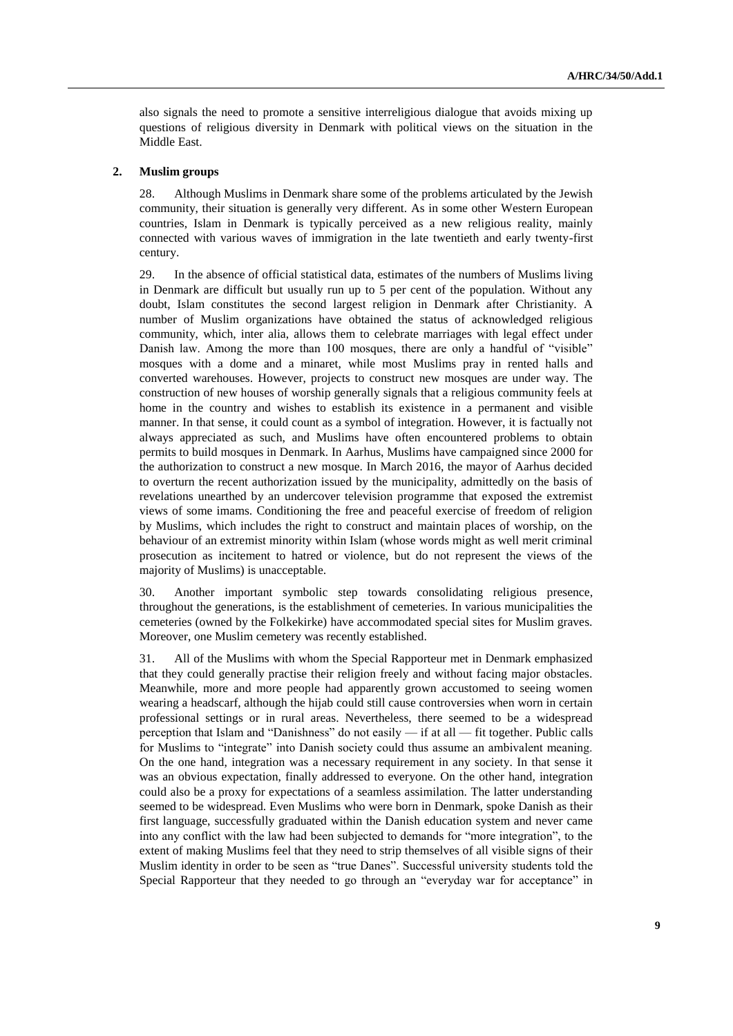also signals the need to promote a sensitive interreligious dialogue that avoids mixing up questions of religious diversity in Denmark with political views on the situation in the Middle East.

#### **2. Muslim groups**

28. Although Muslims in Denmark share some of the problems articulated by the Jewish community, their situation is generally very different. As in some other Western European countries, Islam in Denmark is typically perceived as a new religious reality, mainly connected with various waves of immigration in the late twentieth and early twenty-first century.

29. In the absence of official statistical data, estimates of the numbers of Muslims living in Denmark are difficult but usually run up to 5 per cent of the population. Without any doubt, Islam constitutes the second largest religion in Denmark after Christianity. A number of Muslim organizations have obtained the status of acknowledged religious community, which, inter alia, allows them to celebrate marriages with legal effect under Danish law. Among the more than 100 mosques, there are only a handful of "visible" mosques with a dome and a minaret, while most Muslims pray in rented halls and converted warehouses. However, projects to construct new mosques are under way. The construction of new houses of worship generally signals that a religious community feels at home in the country and wishes to establish its existence in a permanent and visible manner. In that sense, it could count as a symbol of integration. However, it is factually not always appreciated as such, and Muslims have often encountered problems to obtain permits to build mosques in Denmark. In Aarhus, Muslims have campaigned since 2000 for the authorization to construct a new mosque. In March 2016, the mayor of Aarhus decided to overturn the recent authorization issued by the municipality, admittedly on the basis of revelations unearthed by an undercover television programme that exposed the extremist views of some imams. Conditioning the free and peaceful exercise of freedom of religion by Muslims, which includes the right to construct and maintain places of worship, on the behaviour of an extremist minority within Islam (whose words might as well merit criminal prosecution as incitement to hatred or violence, but do not represent the views of the majority of Muslims) is unacceptable.

30. Another important symbolic step towards consolidating religious presence, throughout the generations, is the establishment of cemeteries. In various municipalities the cemeteries (owned by the Folkekirke) have accommodated special sites for Muslim graves. Moreover, one Muslim cemetery was recently established.

31. All of the Muslims with whom the Special Rapporteur met in Denmark emphasized that they could generally practise their religion freely and without facing major obstacles. Meanwhile, more and more people had apparently grown accustomed to seeing women wearing a headscarf, although the hijab could still cause controversies when worn in certain professional settings or in rural areas. Nevertheless, there seemed to be a widespread perception that Islam and "Danishness" do not easily — if at all — fit together. Public calls for Muslims to "integrate" into Danish society could thus assume an ambivalent meaning. On the one hand, integration was a necessary requirement in any society. In that sense it was an obvious expectation, finally addressed to everyone. On the other hand, integration could also be a proxy for expectations of a seamless assimilation. The latter understanding seemed to be widespread. Even Muslims who were born in Denmark, spoke Danish as their first language, successfully graduated within the Danish education system and never came into any conflict with the law had been subjected to demands for "more integration", to the extent of making Muslims feel that they need to strip themselves of all visible signs of their Muslim identity in order to be seen as "true Danes". Successful university students told the Special Rapporteur that they needed to go through an "everyday war for acceptance" in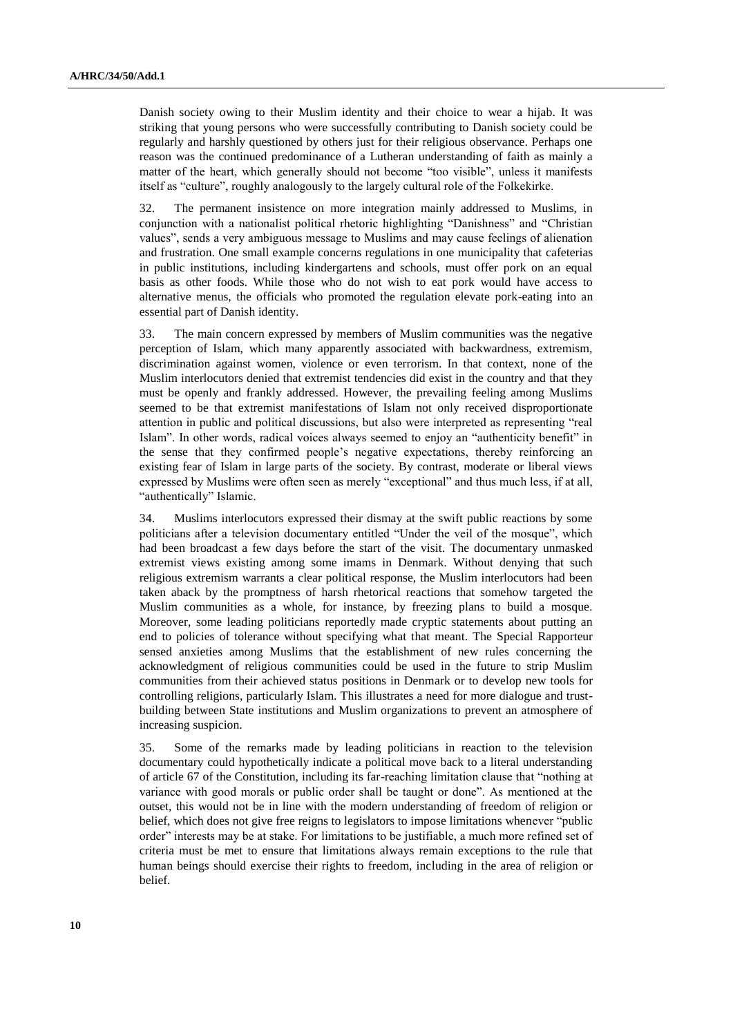Danish society owing to their Muslim identity and their choice to wear a hijab. It was striking that young persons who were successfully contributing to Danish society could be regularly and harshly questioned by others just for their religious observance. Perhaps one reason was the continued predominance of a Lutheran understanding of faith as mainly a matter of the heart, which generally should not become "too visible", unless it manifests itself as "culture", roughly analogously to the largely cultural role of the Folkekirke.

32. The permanent insistence on more integration mainly addressed to Muslims, in conjunction with a nationalist political rhetoric highlighting "Danishness" and "Christian values", sends a very ambiguous message to Muslims and may cause feelings of alienation and frustration. One small example concerns regulations in one municipality that cafeterias in public institutions, including kindergartens and schools, must offer pork on an equal basis as other foods. While those who do not wish to eat pork would have access to alternative menus, the officials who promoted the regulation elevate pork-eating into an essential part of Danish identity.

33. The main concern expressed by members of Muslim communities was the negative perception of Islam, which many apparently associated with backwardness, extremism, discrimination against women, violence or even terrorism. In that context, none of the Muslim interlocutors denied that extremist tendencies did exist in the country and that they must be openly and frankly addressed. However, the prevailing feeling among Muslims seemed to be that extremist manifestations of Islam not only received disproportionate attention in public and political discussions, but also were interpreted as representing "real Islam". In other words, radical voices always seemed to enjoy an "authenticity benefit" in the sense that they confirmed people's negative expectations, thereby reinforcing an existing fear of Islam in large parts of the society. By contrast, moderate or liberal views expressed by Muslims were often seen as merely "exceptional" and thus much less, if at all, "authentically" Islamic.

34. Muslims interlocutors expressed their dismay at the swift public reactions by some politicians after a television documentary entitled "Under the veil of the mosque", which had been broadcast a few days before the start of the visit. The documentary unmasked extremist views existing among some imams in Denmark. Without denying that such religious extremism warrants a clear political response, the Muslim interlocutors had been taken aback by the promptness of harsh rhetorical reactions that somehow targeted the Muslim communities as a whole, for instance, by freezing plans to build a mosque. Moreover, some leading politicians reportedly made cryptic statements about putting an end to policies of tolerance without specifying what that meant. The Special Rapporteur sensed anxieties among Muslims that the establishment of new rules concerning the acknowledgment of religious communities could be used in the future to strip Muslim communities from their achieved status positions in Denmark or to develop new tools for controlling religions, particularly Islam. This illustrates a need for more dialogue and trustbuilding between State institutions and Muslim organizations to prevent an atmosphere of increasing suspicion.

35. Some of the remarks made by leading politicians in reaction to the television documentary could hypothetically indicate a political move back to a literal understanding of article 67 of the Constitution, including its far-reaching limitation clause that "nothing at variance with good morals or public order shall be taught or done". As mentioned at the outset, this would not be in line with the modern understanding of freedom of religion or belief, which does not give free reigns to legislators to impose limitations whenever "public order" interests may be at stake. For limitations to be justifiable, a much more refined set of criteria must be met to ensure that limitations always remain exceptions to the rule that human beings should exercise their rights to freedom, including in the area of religion or belief.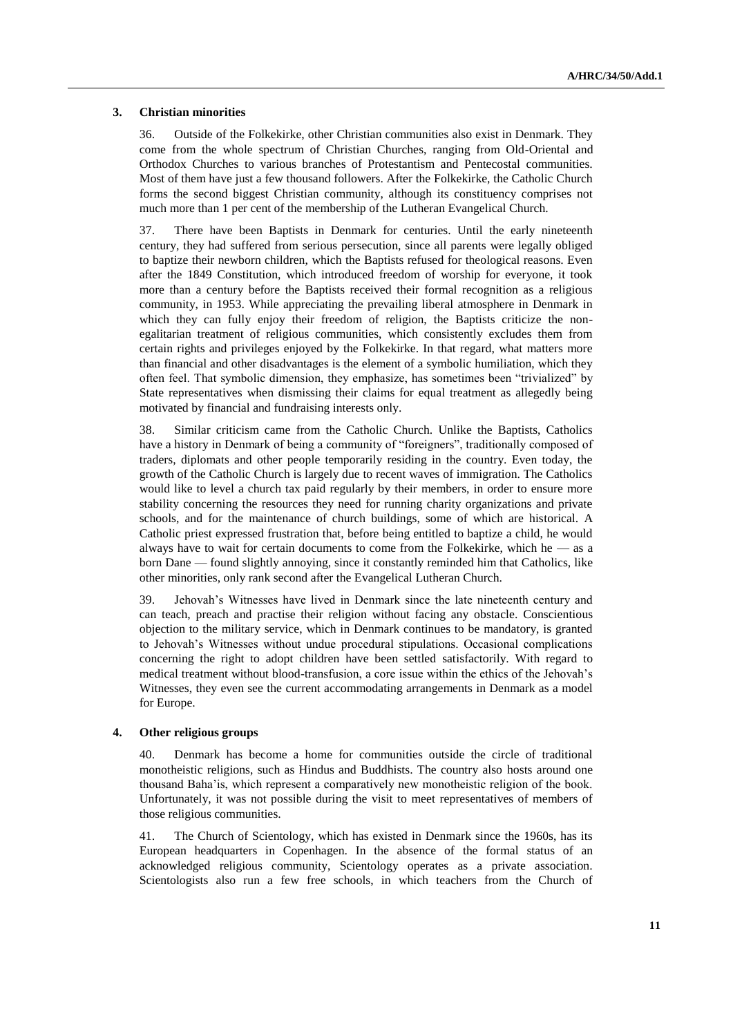#### **3. Christian minorities**

36. Outside of the Folkekirke, other Christian communities also exist in Denmark. They come from the whole spectrum of Christian Churches, ranging from Old-Oriental and Orthodox Churches to various branches of Protestantism and Pentecostal communities. Most of them have just a few thousand followers. After the Folkekirke, the Catholic Church forms the second biggest Christian community, although its constituency comprises not much more than 1 per cent of the membership of the Lutheran Evangelical Church.

37. There have been Baptists in Denmark for centuries. Until the early nineteenth century, they had suffered from serious persecution, since all parents were legally obliged to baptize their newborn children, which the Baptists refused for theological reasons. Even after the 1849 Constitution, which introduced freedom of worship for everyone, it took more than a century before the Baptists received their formal recognition as a religious community, in 1953. While appreciating the prevailing liberal atmosphere in Denmark in which they can fully enjoy their freedom of religion, the Baptists criticize the nonegalitarian treatment of religious communities, which consistently excludes them from certain rights and privileges enjoyed by the Folkekirke. In that regard, what matters more than financial and other disadvantages is the element of a symbolic humiliation, which they often feel. That symbolic dimension, they emphasize, has sometimes been "trivialized" by State representatives when dismissing their claims for equal treatment as allegedly being motivated by financial and fundraising interests only.

38. Similar criticism came from the Catholic Church. Unlike the Baptists, Catholics have a history in Denmark of being a community of "foreigners", traditionally composed of traders, diplomats and other people temporarily residing in the country. Even today, the growth of the Catholic Church is largely due to recent waves of immigration. The Catholics would like to level a church tax paid regularly by their members, in order to ensure more stability concerning the resources they need for running charity organizations and private schools, and for the maintenance of church buildings, some of which are historical. A Catholic priest expressed frustration that, before being entitled to baptize a child, he would always have to wait for certain documents to come from the Folkekirke, which he — as a born Dane — found slightly annoying, since it constantly reminded him that Catholics, like other minorities, only rank second after the Evangelical Lutheran Church.

39. Jehovah's Witnesses have lived in Denmark since the late nineteenth century and can teach, preach and practise their religion without facing any obstacle. Conscientious objection to the military service, which in Denmark continues to be mandatory, is granted to Jehovah's Witnesses without undue procedural stipulations. Occasional complications concerning the right to adopt children have been settled satisfactorily. With regard to medical treatment without blood-transfusion, a core issue within the ethics of the Jehovah's Witnesses, they even see the current accommodating arrangements in Denmark as a model for Europe.

### **4. Other religious groups**

40. Denmark has become a home for communities outside the circle of traditional monotheistic religions, such as Hindus and Buddhists. The country also hosts around one thousand Baha'is, which represent a comparatively new monotheistic religion of the book. Unfortunately, it was not possible during the visit to meet representatives of members of those religious communities.

41. The Church of Scientology, which has existed in Denmark since the 1960s, has its European headquarters in Copenhagen. In the absence of the formal status of an acknowledged religious community, Scientology operates as a private association. Scientologists also run a few free schools, in which teachers from the Church of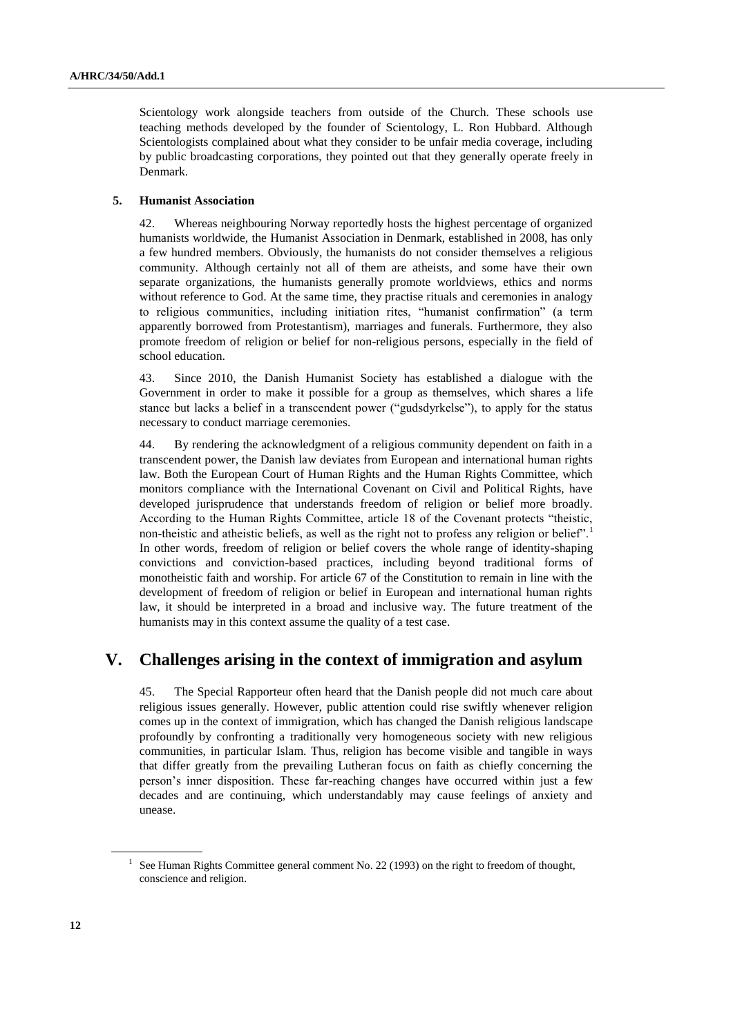Scientology work alongside teachers from outside of the Church. These schools use teaching methods developed by the founder of Scientology, L. Ron Hubbard. Although Scientologists complained about what they consider to be unfair media coverage, including by public broadcasting corporations, they pointed out that they generally operate freely in Denmark.

#### **5. Humanist Association**

42. Whereas neighbouring Norway reportedly hosts the highest percentage of organized humanists worldwide, the Humanist Association in Denmark, established in 2008, has only a few hundred members. Obviously, the humanists do not consider themselves a religious community. Although certainly not all of them are atheists, and some have their own separate organizations, the humanists generally promote worldviews, ethics and norms without reference to God. At the same time, they practise rituals and ceremonies in analogy to religious communities, including initiation rites, "humanist confirmation" (a term apparently borrowed from Protestantism), marriages and funerals. Furthermore, they also promote freedom of religion or belief for non-religious persons, especially in the field of school education.

43. Since 2010, the Danish Humanist Society has established a dialogue with the Government in order to make it possible for a group as themselves, which shares a life stance but lacks a belief in a transcendent power ("gudsdyrkelse"), to apply for the status necessary to conduct marriage ceremonies.

44. By rendering the acknowledgment of a religious community dependent on faith in a transcendent power, the Danish law deviates from European and international human rights law. Both the European Court of Human Rights and the Human Rights Committee, which monitors compliance with the International Covenant on Civil and Political Rights, have developed jurisprudence that understands freedom of religion or belief more broadly. According to the Human Rights Committee, article 18 of the Covenant protects "theistic, non-theistic and atheistic beliefs, as well as the right not to profess any religion or belief".<sup>1</sup> In other words, freedom of religion or belief covers the whole range of identity-shaping convictions and conviction-based practices, including beyond traditional forms of monotheistic faith and worship. For article 67 of the Constitution to remain in line with the development of freedom of religion or belief in European and international human rights law, it should be interpreted in a broad and inclusive way. The future treatment of the humanists may in this context assume the quality of a test case.

# **V. Challenges arising in the context of immigration and asylum**

45. The Special Rapporteur often heard that the Danish people did not much care about religious issues generally. However, public attention could rise swiftly whenever religion comes up in the context of immigration, which has changed the Danish religious landscape profoundly by confronting a traditionally very homogeneous society with new religious communities, in particular Islam. Thus, religion has become visible and tangible in ways that differ greatly from the prevailing Lutheran focus on faith as chiefly concerning the person's inner disposition. These far-reaching changes have occurred within just a few decades and are continuing, which understandably may cause feelings of anxiety and unease.

<sup>&</sup>lt;sup>1</sup> See Human Rights Committee general comment No. 22 (1993) on the right to freedom of thought, conscience and religion.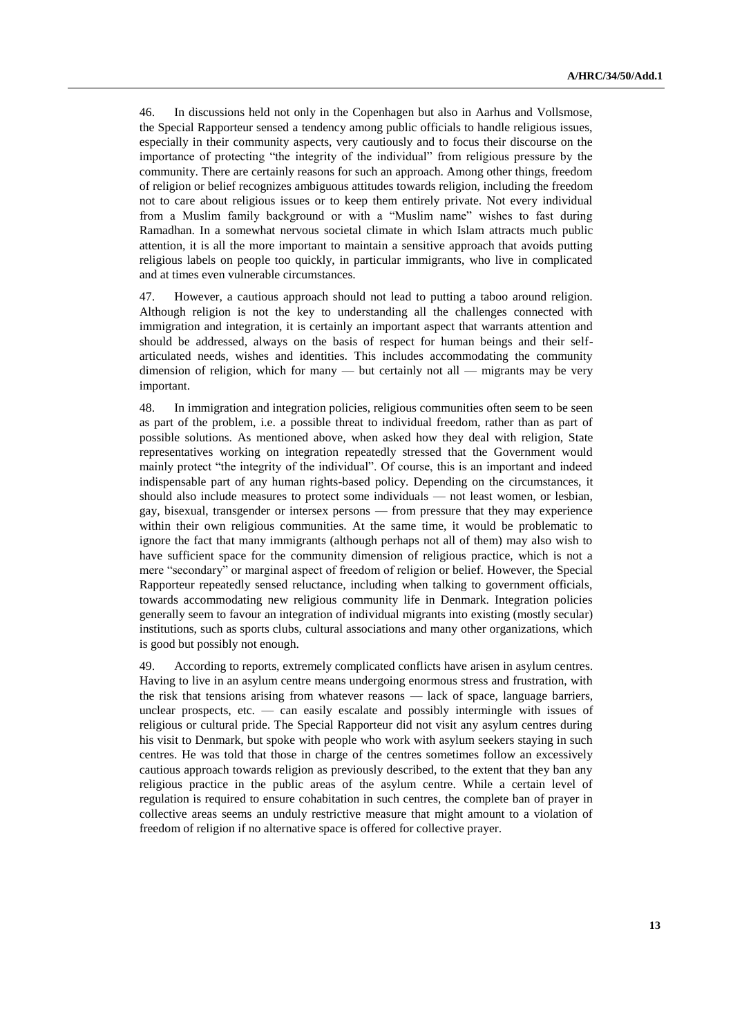46. In discussions held not only in the Copenhagen but also in Aarhus and Vollsmose, the Special Rapporteur sensed a tendency among public officials to handle religious issues, especially in their community aspects, very cautiously and to focus their discourse on the importance of protecting "the integrity of the individual" from religious pressure by the community. There are certainly reasons for such an approach. Among other things, freedom of religion or belief recognizes ambiguous attitudes towards religion, including the freedom not to care about religious issues or to keep them entirely private. Not every individual from a Muslim family background or with a "Muslim name" wishes to fast during Ramadhan. In a somewhat nervous societal climate in which Islam attracts much public attention, it is all the more important to maintain a sensitive approach that avoids putting religious labels on people too quickly, in particular immigrants, who live in complicated and at times even vulnerable circumstances.

47. However, a cautious approach should not lead to putting a taboo around religion. Although religion is not the key to understanding all the challenges connected with immigration and integration, it is certainly an important aspect that warrants attention and should be addressed, always on the basis of respect for human beings and their selfarticulated needs, wishes and identities. This includes accommodating the community dimension of religion, which for many — but certainly not all — migrants may be very important.

48. In immigration and integration policies, religious communities often seem to be seen as part of the problem, i.e. a possible threat to individual freedom, rather than as part of possible solutions. As mentioned above, when asked how they deal with religion, State representatives working on integration repeatedly stressed that the Government would mainly protect "the integrity of the individual". Of course, this is an important and indeed indispensable part of any human rights-based policy. Depending on the circumstances, it should also include measures to protect some individuals — not least women, or lesbian, gay, bisexual, transgender or intersex persons — from pressure that they may experience within their own religious communities. At the same time, it would be problematic to ignore the fact that many immigrants (although perhaps not all of them) may also wish to have sufficient space for the community dimension of religious practice, which is not a mere "secondary" or marginal aspect of freedom of religion or belief. However, the Special Rapporteur repeatedly sensed reluctance, including when talking to government officials, towards accommodating new religious community life in Denmark. Integration policies generally seem to favour an integration of individual migrants into existing (mostly secular) institutions, such as sports clubs, cultural associations and many other organizations, which is good but possibly not enough.

49. According to reports, extremely complicated conflicts have arisen in asylum centres. Having to live in an asylum centre means undergoing enormous stress and frustration, with the risk that tensions arising from whatever reasons — lack of space, language barriers, unclear prospects, etc. — can easily escalate and possibly intermingle with issues of religious or cultural pride. The Special Rapporteur did not visit any asylum centres during his visit to Denmark, but spoke with people who work with asylum seekers staying in such centres. He was told that those in charge of the centres sometimes follow an excessively cautious approach towards religion as previously described, to the extent that they ban any religious practice in the public areas of the asylum centre. While a certain level of regulation is required to ensure cohabitation in such centres, the complete ban of prayer in collective areas seems an unduly restrictive measure that might amount to a violation of freedom of religion if no alternative space is offered for collective prayer.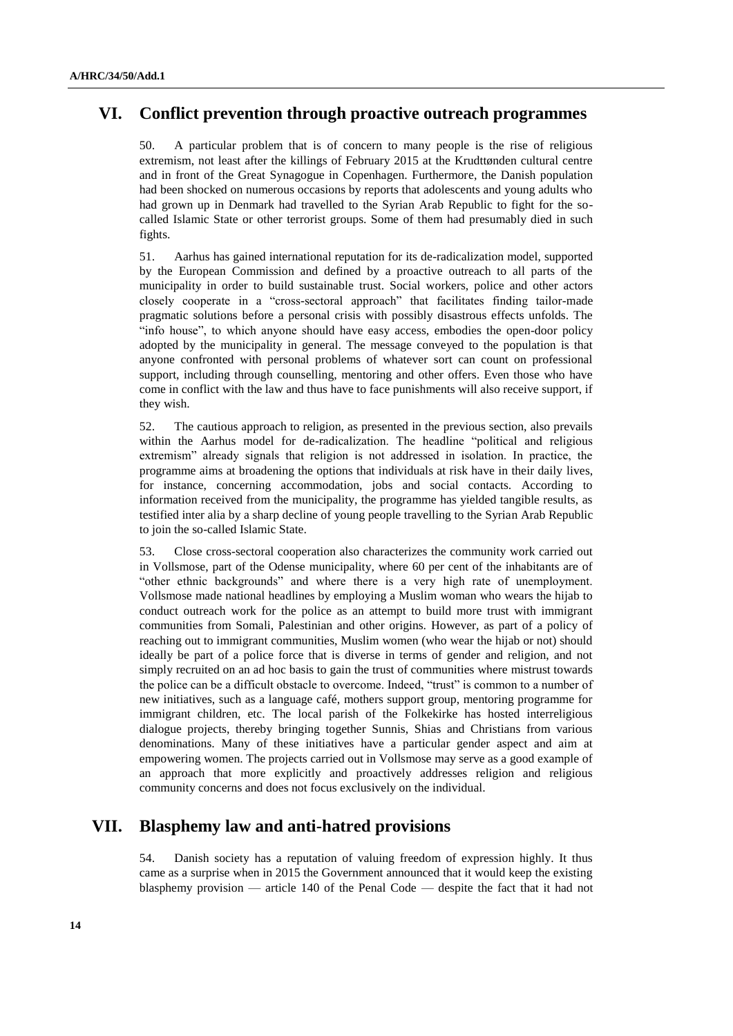# **VI. Conflict prevention through proactive outreach programmes**

50. A particular problem that is of concern to many people is the rise of religious extremism, not least after the killings of February 2015 at the Krudttønden cultural centre and in front of the Great Synagogue in Copenhagen. Furthermore, the Danish population had been shocked on numerous occasions by reports that adolescents and young adults who had grown up in Denmark had travelled to the Syrian Arab Republic to fight for the socalled Islamic State or other terrorist groups. Some of them had presumably died in such fights.

51. Aarhus has gained international reputation for its de-radicalization model, supported by the European Commission and defined by a proactive outreach to all parts of the municipality in order to build sustainable trust. Social workers, police and other actors closely cooperate in a "cross-sectoral approach" that facilitates finding tailor-made pragmatic solutions before a personal crisis with possibly disastrous effects unfolds. The "info house", to which anyone should have easy access, embodies the open-door policy adopted by the municipality in general. The message conveyed to the population is that anyone confronted with personal problems of whatever sort can count on professional support, including through counselling, mentoring and other offers. Even those who have come in conflict with the law and thus have to face punishments will also receive support, if they wish.

52. The cautious approach to religion, as presented in the previous section, also prevails within the Aarhus model for de-radicalization. The headline "political and religious extremism" already signals that religion is not addressed in isolation. In practice, the programme aims at broadening the options that individuals at risk have in their daily lives, for instance, concerning accommodation, jobs and social contacts. According to information received from the municipality, the programme has yielded tangible results, as testified inter alia by a sharp decline of young people travelling to the Syrian Arab Republic to join the so-called Islamic State.

53. Close cross-sectoral cooperation also characterizes the community work carried out in Vollsmose, part of the Odense municipality, where 60 per cent of the inhabitants are of "other ethnic backgrounds" and where there is a very high rate of unemployment. Vollsmose made national headlines by employing a Muslim woman who wears the hijab to conduct outreach work for the police as an attempt to build more trust with immigrant communities from Somali, Palestinian and other origins. However, as part of a policy of reaching out to immigrant communities, Muslim women (who wear the hijab or not) should ideally be part of a police force that is diverse in terms of gender and religion, and not simply recruited on an ad hoc basis to gain the trust of communities where mistrust towards the police can be a difficult obstacle to overcome. Indeed, "trust" is common to a number of new initiatives, such as a language café, mothers support group, mentoring programme for immigrant children, etc. The local parish of the Folkekirke has hosted interreligious dialogue projects, thereby bringing together Sunnis, Shias and Christians from various denominations. Many of these initiatives have a particular gender aspect and aim at empowering women. The projects carried out in Vollsmose may serve as a good example of an approach that more explicitly and proactively addresses religion and religious community concerns and does not focus exclusively on the individual.

## **VII. Blasphemy law and anti-hatred provisions**

54. Danish society has a reputation of valuing freedom of expression highly. It thus came as a surprise when in 2015 the Government announced that it would keep the existing blasphemy provision — article 140 of the Penal Code — despite the fact that it had not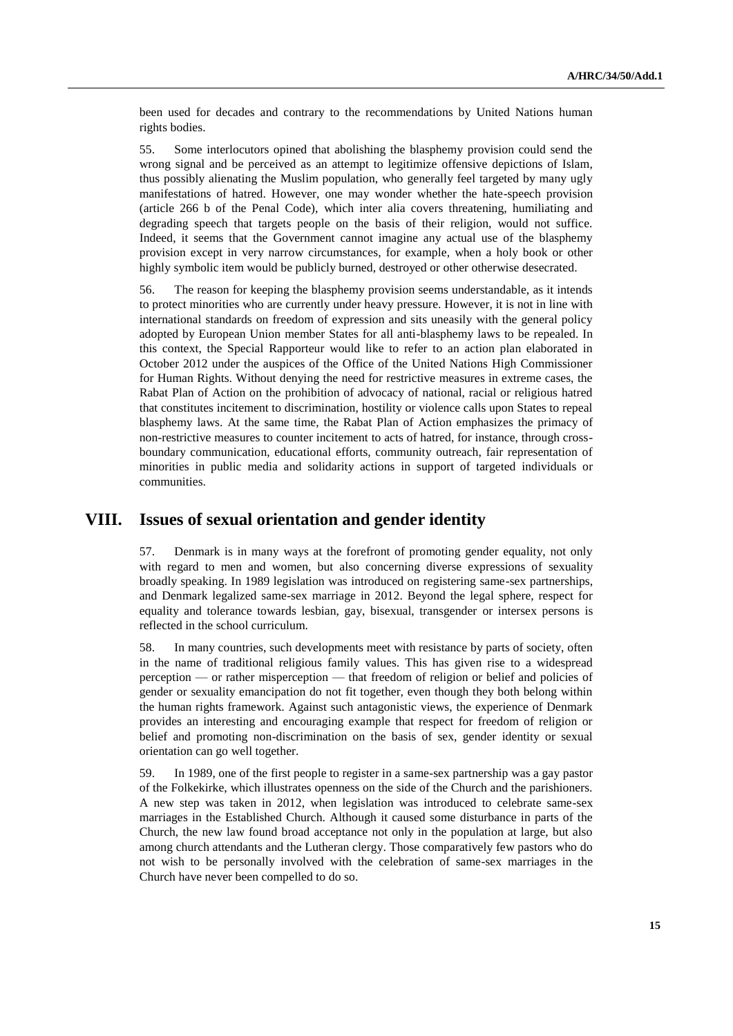been used for decades and contrary to the recommendations by United Nations human rights bodies.

55. Some interlocutors opined that abolishing the blasphemy provision could send the wrong signal and be perceived as an attempt to legitimize offensive depictions of Islam, thus possibly alienating the Muslim population, who generally feel targeted by many ugly manifestations of hatred. However, one may wonder whether the hate-speech provision (article 266 b of the Penal Code), which inter alia covers threatening, humiliating and degrading speech that targets people on the basis of their religion, would not suffice. Indeed, it seems that the Government cannot imagine any actual use of the blasphemy provision except in very narrow circumstances, for example, when a holy book or other highly symbolic item would be publicly burned, destroyed or other otherwise desecrated.

56. The reason for keeping the blasphemy provision seems understandable, as it intends to protect minorities who are currently under heavy pressure. However, it is not in line with international standards on freedom of expression and sits uneasily with the general policy adopted by European Union member States for all anti-blasphemy laws to be repealed. In this context, the Special Rapporteur would like to refer to an action plan elaborated in October 2012 under the auspices of the Office of the United Nations High Commissioner for Human Rights. Without denying the need for restrictive measures in extreme cases, the Rabat Plan of Action on the prohibition of advocacy of national, racial or religious hatred that constitutes incitement to discrimination, hostility or violence calls upon States to repeal blasphemy laws. At the same time, the Rabat Plan of Action emphasizes the primacy of non-restrictive measures to counter incitement to acts of hatred, for instance, through crossboundary communication, educational efforts, community outreach, fair representation of minorities in public media and solidarity actions in support of targeted individuals or communities.

## **VIII. Issues of sexual orientation and gender identity**

57. Denmark is in many ways at the forefront of promoting gender equality, not only with regard to men and women, but also concerning diverse expressions of sexuality broadly speaking. In 1989 legislation was introduced on registering same-sex partnerships, and Denmark legalized same-sex marriage in 2012. Beyond the legal sphere, respect for equality and tolerance towards lesbian, gay, bisexual, transgender or intersex persons is reflected in the school curriculum.

58. In many countries, such developments meet with resistance by parts of society, often in the name of traditional religious family values. This has given rise to a widespread perception — or rather misperception — that freedom of religion or belief and policies of gender or sexuality emancipation do not fit together, even though they both belong within the human rights framework. Against such antagonistic views, the experience of Denmark provides an interesting and encouraging example that respect for freedom of religion or belief and promoting non-discrimination on the basis of sex, gender identity or sexual orientation can go well together.

59. In 1989, one of the first people to register in a same-sex partnership was a gay pastor of the Folkekirke, which illustrates openness on the side of the Church and the parishioners. A new step was taken in 2012, when legislation was introduced to celebrate same-sex marriages in the Established Church. Although it caused some disturbance in parts of the Church, the new law found broad acceptance not only in the population at large, but also among church attendants and the Lutheran clergy. Those comparatively few pastors who do not wish to be personally involved with the celebration of same-sex marriages in the Church have never been compelled to do so.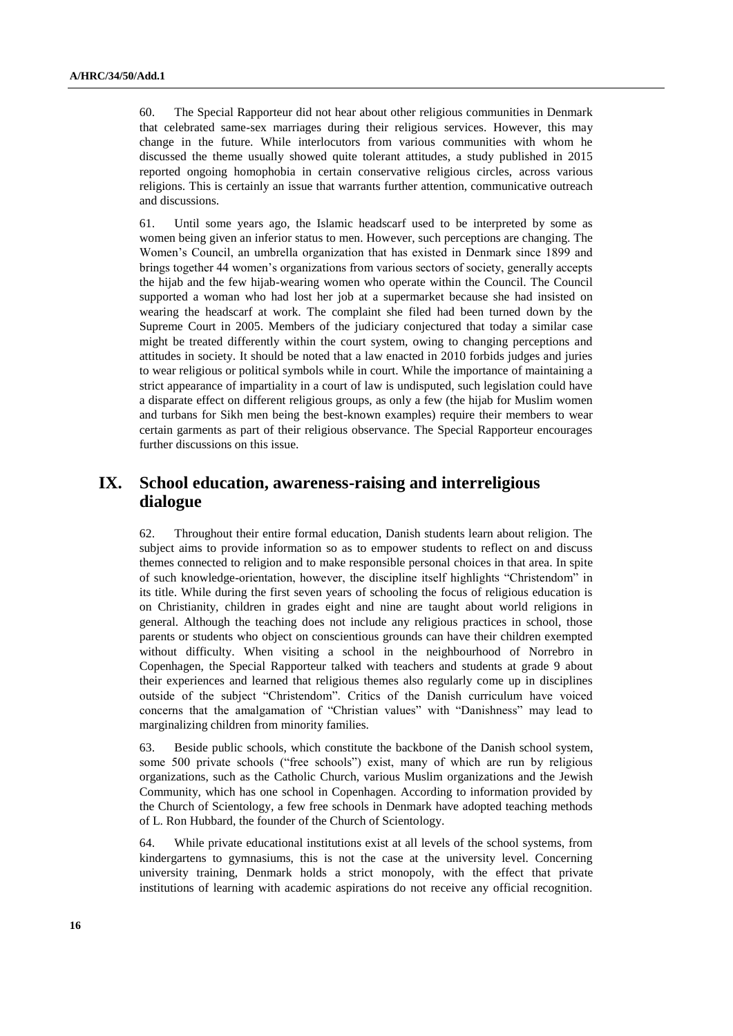60. The Special Rapporteur did not hear about other religious communities in Denmark that celebrated same-sex marriages during their religious services. However, this may change in the future. While interlocutors from various communities with whom he discussed the theme usually showed quite tolerant attitudes, a study published in 2015 reported ongoing homophobia in certain conservative religious circles, across various religions. This is certainly an issue that warrants further attention, communicative outreach and discussions.

61. Until some years ago, the Islamic headscarf used to be interpreted by some as women being given an inferior status to men. However, such perceptions are changing. The Women's Council, an umbrella organization that has existed in Denmark since 1899 and brings together 44 women's organizations from various sectors of society, generally accepts the hijab and the few hijab-wearing women who operate within the Council. The Council supported a woman who had lost her job at a supermarket because she had insisted on wearing the headscarf at work. The complaint she filed had been turned down by the Supreme Court in 2005. Members of the judiciary conjectured that today a similar case might be treated differently within the court system, owing to changing perceptions and attitudes in society. It should be noted that a law enacted in 2010 forbids judges and juries to wear religious or political symbols while in court. While the importance of maintaining a strict appearance of impartiality in a court of law is undisputed, such legislation could have a disparate effect on different religious groups, as only a few (the hijab for Muslim women and turbans for Sikh men being the best-known examples) require their members to wear certain garments as part of their religious observance. The Special Rapporteur encourages further discussions on this issue.

## **IX. School education, awareness-raising and interreligious dialogue**

62. Throughout their entire formal education, Danish students learn about religion. The subject aims to provide information so as to empower students to reflect on and discuss themes connected to religion and to make responsible personal choices in that area. In spite of such knowledge-orientation, however, the discipline itself highlights "Christendom" in its title. While during the first seven years of schooling the focus of religious education is on Christianity, children in grades eight and nine are taught about world religions in general. Although the teaching does not include any religious practices in school, those parents or students who object on conscientious grounds can have their children exempted without difficulty. When visiting a school in the neighbourhood of Norrebro in Copenhagen, the Special Rapporteur talked with teachers and students at grade 9 about their experiences and learned that religious themes also regularly come up in disciplines outside of the subject "Christendom". Critics of the Danish curriculum have voiced concerns that the amalgamation of "Christian values" with "Danishness" may lead to marginalizing children from minority families.

63. Beside public schools, which constitute the backbone of the Danish school system, some 500 private schools ("free schools") exist, many of which are run by religious organizations, such as the Catholic Church, various Muslim organizations and the Jewish Community, which has one school in Copenhagen. According to information provided by the Church of Scientology, a few free schools in Denmark have adopted teaching methods of L. Ron Hubbard, the founder of the Church of Scientology.

64. While private educational institutions exist at all levels of the school systems, from kindergartens to gymnasiums, this is not the case at the university level. Concerning university training, Denmark holds a strict monopoly, with the effect that private institutions of learning with academic aspirations do not receive any official recognition.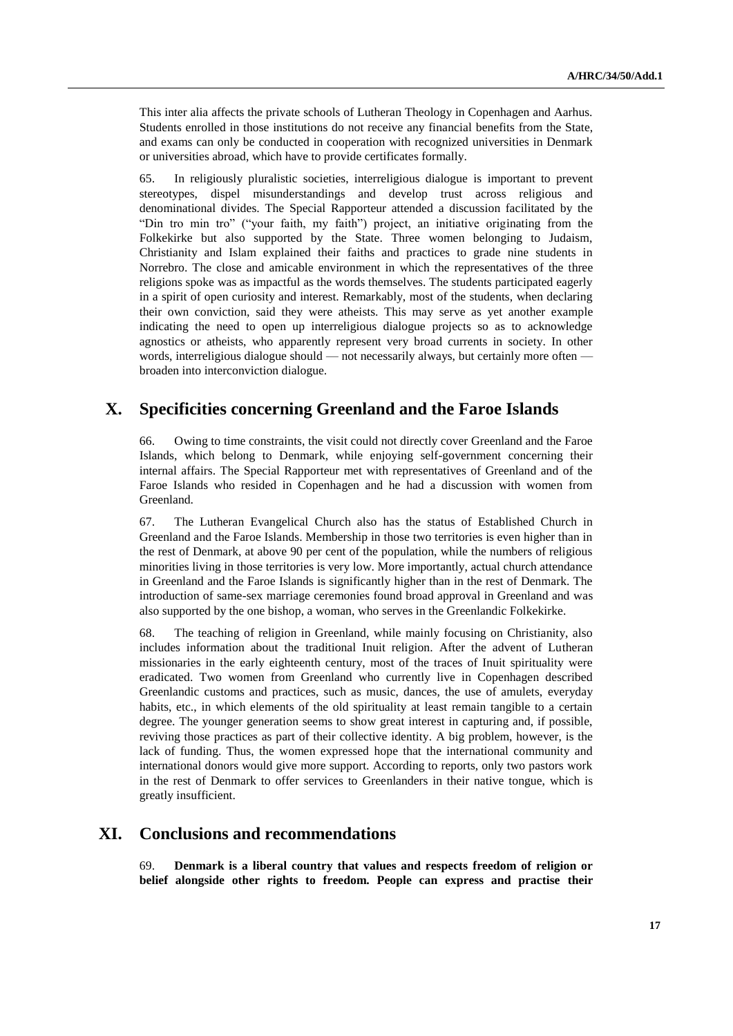This inter alia affects the private schools of Lutheran Theology in Copenhagen and Aarhus. Students enrolled in those institutions do not receive any financial benefits from the State, and exams can only be conducted in cooperation with recognized universities in Denmark or universities abroad, which have to provide certificates formally.

65. In religiously pluralistic societies, interreligious dialogue is important to prevent stereotypes, dispel misunderstandings and develop trust across religious and denominational divides. The Special Rapporteur attended a discussion facilitated by the "Din tro min tro" ("your faith, my faith") project, an initiative originating from the Folkekirke but also supported by the State. Three women belonging to Judaism, Christianity and Islam explained their faiths and practices to grade nine students in Norrebro. The close and amicable environment in which the representatives of the three religions spoke was as impactful as the words themselves. The students participated eagerly in a spirit of open curiosity and interest. Remarkably, most of the students, when declaring their own conviction, said they were atheists. This may serve as yet another example indicating the need to open up interreligious dialogue projects so as to acknowledge agnostics or atheists, who apparently represent very broad currents in society. In other words, interreligious dialogue should — not necessarily always, but certainly more often broaden into interconviction dialogue.

# **X. Specificities concerning Greenland and the Faroe Islands**

66. Owing to time constraints, the visit could not directly cover Greenland and the Faroe Islands, which belong to Denmark, while enjoying self-government concerning their internal affairs. The Special Rapporteur met with representatives of Greenland and of the Faroe Islands who resided in Copenhagen and he had a discussion with women from Greenland.

67. The Lutheran Evangelical Church also has the status of Established Church in Greenland and the Faroe Islands. Membership in those two territories is even higher than in the rest of Denmark, at above 90 per cent of the population, while the numbers of religious minorities living in those territories is very low. More importantly, actual church attendance in Greenland and the Faroe Islands is significantly higher than in the rest of Denmark. The introduction of same-sex marriage ceremonies found broad approval in Greenland and was also supported by the one bishop, a woman, who serves in the Greenlandic Folkekirke.

68. The teaching of religion in Greenland, while mainly focusing on Christianity, also includes information about the traditional Inuit religion. After the advent of Lutheran missionaries in the early eighteenth century, most of the traces of Inuit spirituality were eradicated. Two women from Greenland who currently live in Copenhagen described Greenlandic customs and practices, such as music, dances, the use of amulets, everyday habits, etc., in which elements of the old spirituality at least remain tangible to a certain degree. The younger generation seems to show great interest in capturing and, if possible, reviving those practices as part of their collective identity. A big problem, however, is the lack of funding. Thus, the women expressed hope that the international community and international donors would give more support. According to reports, only two pastors work in the rest of Denmark to offer services to Greenlanders in their native tongue, which is greatly insufficient.

# **XI. Conclusions and recommendations**

69. **Denmark is a liberal country that values and respects freedom of religion or belief alongside other rights to freedom. People can express and practise their**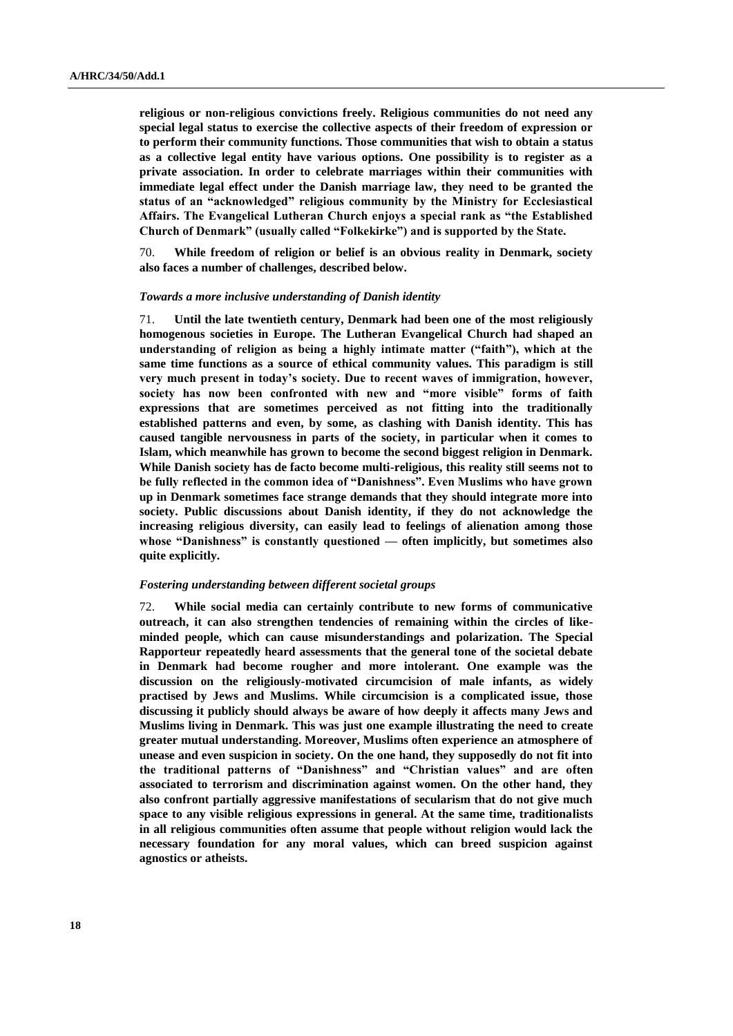**religious or non-religious convictions freely. Religious communities do not need any special legal status to exercise the collective aspects of their freedom of expression or to perform their community functions. Those communities that wish to obtain a status as a collective legal entity have various options. One possibility is to register as a private association. In order to celebrate marriages within their communities with immediate legal effect under the Danish marriage law, they need to be granted the status of an "acknowledged" religious community by the Ministry for Ecclesiastical Affairs. The Evangelical Lutheran Church enjoys a special rank as "the Established Church of Denmark" (usually called "Folkekirke") and is supported by the State.**

70. **While freedom of religion or belief is an obvious reality in Denmark, society also faces a number of challenges, described below.**

#### *Towards a more inclusive understanding of Danish identity*

71. **Until the late twentieth century, Denmark had been one of the most religiously homogenous societies in Europe. The Lutheran Evangelical Church had shaped an understanding of religion as being a highly intimate matter ("faith"), which at the same time functions as a source of ethical community values. This paradigm is still very much present in today's society. Due to recent waves of immigration, however, society has now been confronted with new and "more visible" forms of faith expressions that are sometimes perceived as not fitting into the traditionally established patterns and even, by some, as clashing with Danish identity. This has caused tangible nervousness in parts of the society, in particular when it comes to Islam, which meanwhile has grown to become the second biggest religion in Denmark. While Danish society has de facto become multi-religious, this reality still seems not to be fully reflected in the common idea of "Danishness". Even Muslims who have grown up in Denmark sometimes face strange demands that they should integrate more into society. Public discussions about Danish identity, if they do not acknowledge the increasing religious diversity, can easily lead to feelings of alienation among those whose "Danishness" is constantly questioned — often implicitly, but sometimes also quite explicitly.**

### *Fostering understanding between different societal groups*

72. **While social media can certainly contribute to new forms of communicative outreach, it can also strengthen tendencies of remaining within the circles of likeminded people, which can cause misunderstandings and polarization. The Special Rapporteur repeatedly heard assessments that the general tone of the societal debate in Denmark had become rougher and more intolerant. One example was the discussion on the religiously-motivated circumcision of male infants, as widely practised by Jews and Muslims. While circumcision is a complicated issue, those discussing it publicly should always be aware of how deeply it affects many Jews and Muslims living in Denmark. This was just one example illustrating the need to create greater mutual understanding. Moreover, Muslims often experience an atmosphere of unease and even suspicion in society. On the one hand, they supposedly do not fit into the traditional patterns of "Danishness" and "Christian values" and are often associated to terrorism and discrimination against women. On the other hand, they also confront partially aggressive manifestations of secularism that do not give much space to any visible religious expressions in general. At the same time, traditionalists in all religious communities often assume that people without religion would lack the necessary foundation for any moral values, which can breed suspicion against agnostics or atheists.**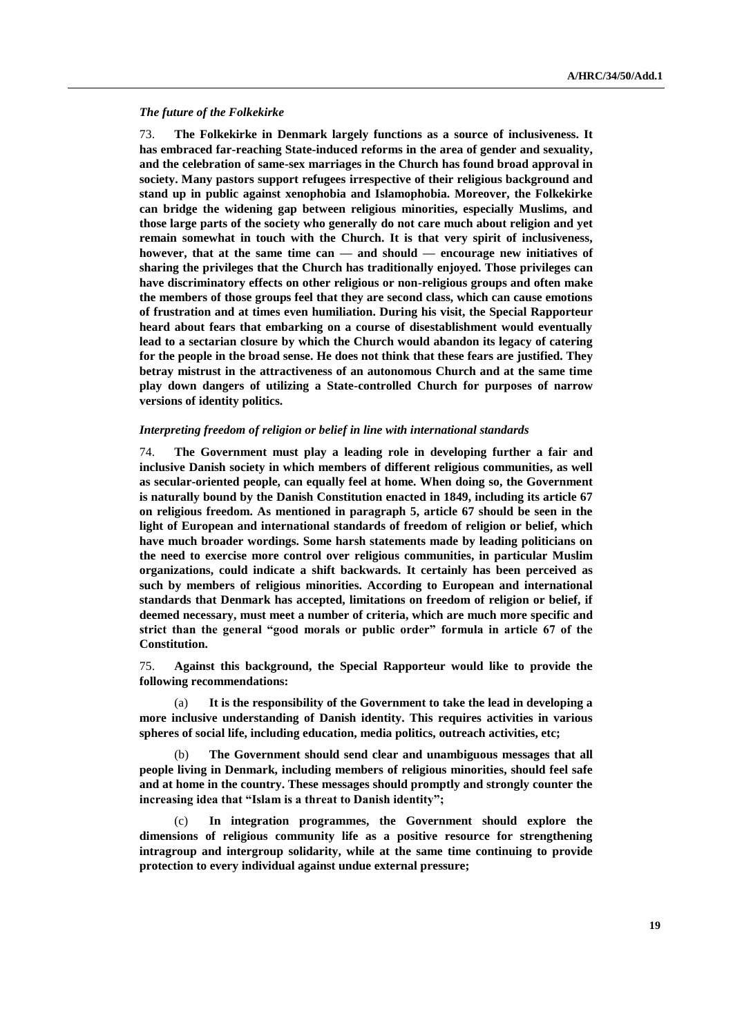#### *The future of the Folkekirke*

73. **The Folkekirke in Denmark largely functions as a source of inclusiveness. It has embraced far-reaching State-induced reforms in the area of gender and sexuality, and the celebration of same-sex marriages in the Church has found broad approval in society. Many pastors support refugees irrespective of their religious background and stand up in public against xenophobia and Islamophobia. Moreover, the Folkekirke can bridge the widening gap between religious minorities, especially Muslims, and those large parts of the society who generally do not care much about religion and yet remain somewhat in touch with the Church. It is that very spirit of inclusiveness, however, that at the same time can — and should — encourage new initiatives of sharing the privileges that the Church has traditionally enjoyed. Those privileges can have discriminatory effects on other religious or non-religious groups and often make the members of those groups feel that they are second class, which can cause emotions of frustration and at times even humiliation. During his visit, the Special Rapporteur heard about fears that embarking on a course of disestablishment would eventually lead to a sectarian closure by which the Church would abandon its legacy of catering for the people in the broad sense. He does not think that these fears are justified. They betray mistrust in the attractiveness of an autonomous Church and at the same time play down dangers of utilizing a State-controlled Church for purposes of narrow versions of identity politics.**

#### *Interpreting freedom of religion or belief in line with international standards*

74. **The Government must play a leading role in developing further a fair and inclusive Danish society in which members of different religious communities, as well as secular-oriented people, can equally feel at home. When doing so, the Government is naturally bound by the Danish Constitution enacted in 1849, including its article 67 on religious freedom. As mentioned in paragraph 5, article 67 should be seen in the light of European and international standards of freedom of religion or belief, which have much broader wordings. Some harsh statements made by leading politicians on the need to exercise more control over religious communities, in particular Muslim organizations, could indicate a shift backwards. It certainly has been perceived as such by members of religious minorities. According to European and international standards that Denmark has accepted, limitations on freedom of religion or belief, if deemed necessary, must meet a number of criteria, which are much more specific and strict than the general "good morals or public order" formula in article 67 of the Constitution.**

75. **Against this background, the Special Rapporteur would like to provide the following recommendations:**

It is the responsibility of the Government to take the lead in developing a **more inclusive understanding of Danish identity. This requires activities in various spheres of social life, including education, media politics, outreach activities, etc;**

(b) **The Government should send clear and unambiguous messages that all people living in Denmark, including members of religious minorities, should feel safe and at home in the country. These messages should promptly and strongly counter the increasing idea that "Islam is a threat to Danish identity";**

(c) **In integration programmes, the Government should explore the dimensions of religious community life as a positive resource for strengthening intragroup and intergroup solidarity, while at the same time continuing to provide protection to every individual against undue external pressure;**